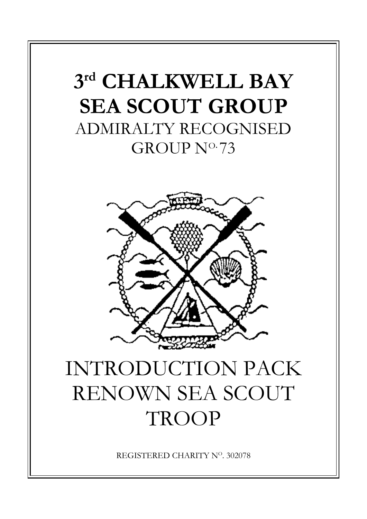## **3 rd CHALKWELL BAY SEA SCOUT GROUP** ADMIRALTY RECOGNISED GROUP N<sup>o.</sup>73



# INTRODUCTION PACK RENOWN SEA SCOUT **TROOP**

REGISTERED CHARITY NO. 302078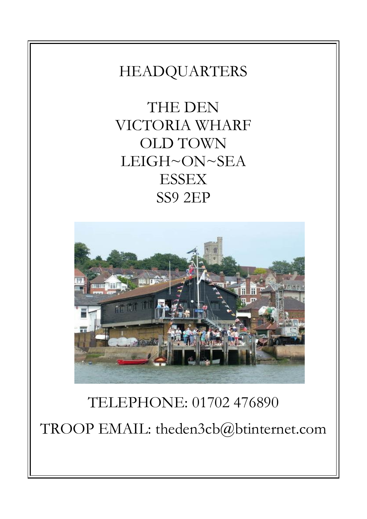## HEADQUARTERS

THE DEN VICTORIA WHARF OLD TOWN LEIGH~ON~SEA **ESSEX** SS9 2EP



## TELEPHONE: 01702 476890 TROOP EMAIL: theden3cb@btinternet.com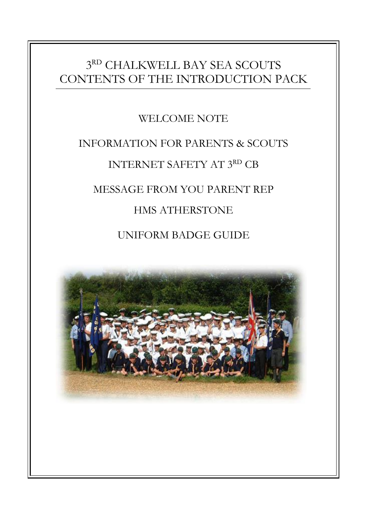### 3 RD CHALKWELL BAY SEA SCOUTS CONTENTS OF THE INTRODUCTION PACK

### WELCOME NOTE

## INFORMATION FOR PARENTS & SCOUTS INTERNET SAFETY AT 3RD CB MESSAGE FROM YOU PARENT REP HMS ATHERSTONE UNIFORM BADGE GUIDE

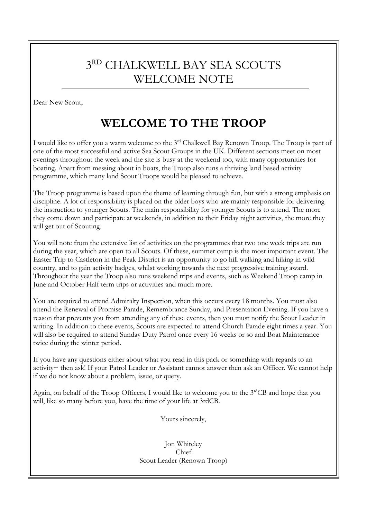## 3 RD CHALKWELL BAY SEA SCOUTS WELCOME NOTE

Dear New Scout,

## **WELCOME TO THE TROOP**

I would like to offer you a warm welcome to the 3<sup>rd</sup> Chalkwell Bay Renown Troop. The Troop is part of one of the most successful and active Sea Scout Groups in the UK. Different sections meet on most evenings throughout the week and the site is busy at the weekend too, with many opportunities for boating. Apart from messing about in boats, the Troop also runs a thriving land based activity programme, which many land Scout Troops would be pleased to achieve.

The Troop programme is based upon the theme of learning through fun, but with a strong emphasis on discipline. A lot of responsibility is placed on the older boys who are mainly responsible for delivering the instruction to younger Scouts. The main responsibility for younger Scouts is to attend. The more they come down and participate at weekends, in addition to their Friday night activities, the more they will get out of Scouting.

You will note from the extensive list of activities on the programmes that two one week trips are run during the year, which are open to all Scouts. Of these, summer camp is the most important event. The Easter Trip to Castleton in the Peak District is an opportunity to go hill walking and hiking in wild country, and to gain activity badges, whilst working towards the next progressive training award. Throughout the year the Troop also runs weekend trips and events, such as Weekend Troop camp in June and October Half term trips or activities and much more.

You are required to attend Admiralty Inspection, when this occurs every 18 months. You must also attend the Renewal of Promise Parade, Remembrance Sunday, and Presentation Evening. If you have a reason that prevents you from attending any of these events, then you must notify the Scout Leader in writing. In addition to these events, Scouts are expected to attend Church Parade eight times a year. You will also be required to attend Sunday Duty Patrol once every 16 weeks or so and Boat Maintenance twice during the winter period.

If you have any questions either about what you read in this pack or something with regards to an activity~ then ask! If your Patrol Leader or Assistant cannot answer then ask an Officer. We cannot help if we do not know about a problem, issue, or query.

Again, on behalf of the Troop Officers, I would like to welcome you to the 3<sup>rd</sup>CB and hope that you will, like so many before you, have the time of your life at 3rdCB.

Yours sincerely,

Jon Whiteley Chief Scout Leader (Renown Troop)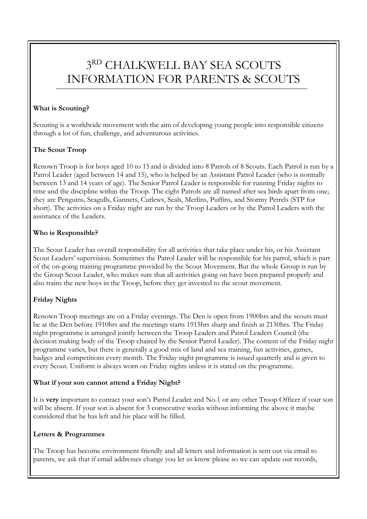## 3 RD CHALKWELL BAY SEA SCOUTS INFORMATION FOR PARENTS & SCOUTS

#### **What is Scouting?**

Scouting is a worldwide movement with the aim of developing young people into responsible citizens through a lot of fun, challenge, and adventurous activities.

#### **The Scout Troop**

Renown Troop is for boys aged 10 to 15 and is divided into 8 Patrols of 8 Scouts. Each Patrol is run by a Patrol Leader (aged between 14 and 15), who is helped by an Assistant Patrol Leader (who is normally between 13 and 14 years of age). The Senior Patrol Leader is responsible for running Friday nights to time and the discipline within the Troop. The eight Patrols are all named after sea birds apart from one; they are Penguins, Seagulls, Gannets, Curlews, Seals, Merlins, Puffins, and Stormy Petrels (STP for short). The activities on a Friday night are run by the Troop Leaders or by the Patrol Leaders with the assistance of the Leaders.

#### **Who is Responsible?**

The Scout Leader has overall responsibility for all activities that take place under his, or his Assistant Scout Leaders' supervision. Sometimes the Patrol Leader will be responsible for his patrol, which is part of the on-going training programme provided by the Scout Movement. But the whole Group is run by the Group Scout Leader, who makes sure that all activities going on have been prepared properly and also trains the new boys in the Troop, before they get invested to the scout movement.

#### **Friday Nights**

Renown Troop meetings are on a Friday evenings. The Den is open from 1900hrs and the scouts must be at the Den before 1910hrs and the meetings starts 1915hrs sharp and finish at 2130hrs. The Friday night programme is arranged jointly between the Troop Leaders and Patrol Leaders Council (the decision making body of the Troop chaired by the Senior Patrol Leader). The content of the Friday night programme varies, but there is generally a good mix of land and sea training, fun activities, games, badges and competitions every month. The Friday night programme is issued quarterly and is given to every Scout. Uniform is always worn on Friday nights unless it is stated on the programme.

#### **What if your son cannot attend a Friday Night?**

It is **very** important to contact your son's Patrol Leader and No.1 or any other Troop Officer if your son will be absent. If your son is absent for 3 consecutive weeks without informing the above it maybe considered that he has left and his place will be filled.

#### **Letters & Programmes**

The Troop has become environment friendly and all letters and information is sent out via email to parents, we ask that if email addresses change you let us know please so we can update our records,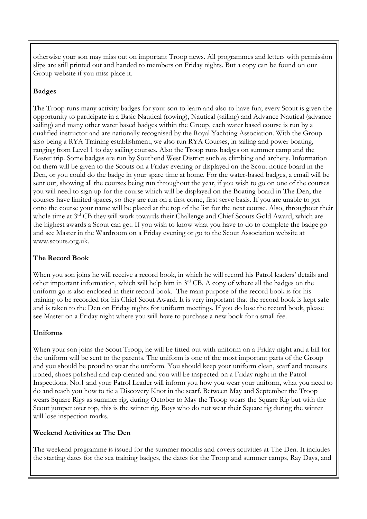otherwise your son may miss out on important Troop news. All programmes and letters with permission slips are still printed out and handed to members on Friday nights. But a copy can be found on our Group website if you miss place it.

#### **Badges**

The Troop runs many activity badges for your son to learn and also to have fun; every Scout is given the opportunity to participate in a Basic Nautical (rowing), Nautical (sailing) and Advance Nautical (advance sailing) and many other water based badges within the Group, each water based course is run by a qualified instructor and are nationally recognised by the Royal Yachting Association. With the Group also being a RYA Training establishment, we also run RYA Courses, in sailing and power boating, ranging from Level 1 to day sailing courses. Also the Troop runs badges on summer camp and the Easter trip. Some badges are run by Southend West District such as climbing and archery. Information on them will be given to the Scouts on a Friday evening or displayed on the Scout notice board in the Den, or you could do the badge in your spare time at home. For the water-based badges, a email will be sent out, showing all the courses being run throughout the year, if you wish to go on one of the courses you will need to sign up for the course which will be displayed on the Boating board in The Den, the courses have limited spaces, so they are run on a first come, first serve basis. If you are unable to get onto the course your name will be placed at the top of the list for the next course. Also, throughout their whole time at 3<sup>rd</sup> CB they will work towards their Challenge and Chief Scouts Gold Award, which are the highest awards a Scout can get. If you wish to know what you have to do to complete the badge go and see Master in the Wardroom on a Friday evening or go to the Scout Association website at www.scouts.org.uk.

#### **The Record Book**

When you son joins he will receive a record book, in which he will record his Patrol leaders' details and other important information, which will help him in 3rd CB. A copy of where all the badges on the uniform go is also enclosed in their record book. The main purpose of the record book is for his training to be recorded for his Chief Scout Award. It is very important that the record book is kept safe and is taken to the Den on Friday nights for uniform meetings. If you do lose the record book, please see Master on a Friday night where you will have to purchase a new book for a small fee.

#### **Uniforms**

When your son joins the Scout Troop, he will be fitted out with uniform on a Friday night and a bill for the uniform will be sent to the parents. The uniform is one of the most important parts of the Group and you should be proud to wear the uniform. You should keep your uniform clean, scarf and trousers ironed, shoes polished and cap cleaned and you will be inspected on a Friday night in the Patrol Inspections. No.1 and your Patrol Leader will inform you how you wear your uniform, what you need to do and teach you how to tie a Discovery Knot in the scarf. Between May and September the Troop wears Square Rigs as summer rig, during October to May the Troop wears the Square Rig but with the Scout jumper over top, this is the winter rig. Boys who do not wear their Square rig during the winter will lose inspection marks.

#### **Weekend Activities at The Den**

The weekend programme is issued for the summer months and covers activities at The Den. It includes the starting dates for the sea training badges, the dates for the Troop and summer camps, Ray Days, and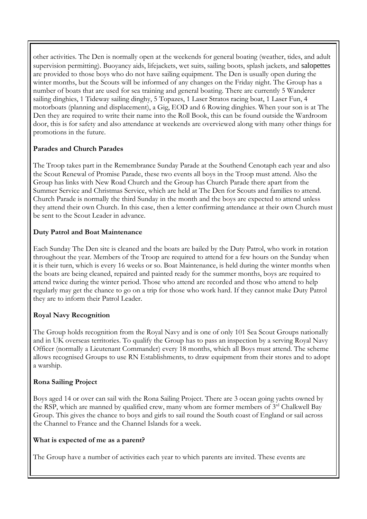other activities. The Den is normally open at the weekends for general boating (weather, tides, and adult supervision permitting). Buoyancy aids, lifejackets, wet suits, sailing boots, splash jackets, and salopettes are provided to those boys who do not have sailing equipment. The Den is usually open during the winter months, but the Scouts will be informed of any changes on the Friday night. The Group has a number of boats that are used for sea training and general boating. There are currently 5 Wanderer sailing dinghies, 1 Tideway sailing dinghy, 5 Topazes, 1 Laser Stratos racing boat, 1 Laser Fun, 4 motorboats (planning and displacement), a Gig, EOD and 6 Rowing dinghies. When your son is at The Den they are required to write their name into the Roll Book, this can be found outside the Wardroom door, this is for safety and also attendance at weekends are overviewed along with many other things for promotions in the future.

#### **Parades and Church Parades**

The Troop takes part in the Remembrance Sunday Parade at the Southend Cenotaph each year and also the Scout Renewal of Promise Parade, these two events all boys in the Troop must attend. Also the Group has links with New Road Church and the Group has Church Parade there apart from the Summer Service and Christmas Service, which are held at The Den for Scouts and families to attend. Church Parade is normally the third Sunday in the month and the boys are expected to attend unless they attend their own Church. In this case, then a letter confirming attendance at their own Church must be sent to the Scout Leader in advance.

#### **Duty Patrol and Boat Maintenance**

Each Sunday The Den site is cleaned and the boats are bailed by the Duty Patrol, who work in rotation throughout the year. Members of the Troop are required to attend for a few hours on the Sunday when it is their turn, which is every 16 weeks or so. Boat Maintenance, is held during the winter months when the boats are being cleaned, repaired and painted ready for the summer months, boys are required to attend twice during the winter period. Those who attend are recorded and those who attend to help regularly may get the chance to go on a trip for those who work hard. If they cannot make Duty Patrol they are to inform their Patrol Leader.

#### **Royal Navy Recognition**

The Group holds recognition from the Royal Navy and is one of only 101 Sea Scout Groups nationally and in UK overseas territories. To qualify the Group has to pass an inspection by a serving Royal Navy Officer (normally a Lieutenant Commander) every 18 months, which all Boys must attend. The scheme allows recognised Groups to use RN Establishments, to draw equipment from their stores and to adopt a warship.

#### **Rona Sailing Project**

Boys aged 14 or over can sail with the Rona Sailing Project. There are 3 ocean going yachts owned by the RSP, which are manned by qualified crew, many whom are former members of 3<sup>rd</sup> Chalkwell Bay Group. This gives the chance to boys and girls to sail round the South coast of England or sail across the Channel to France and the Channel Islands for a week.

#### **What is expected of me as a parent?**

The Group have a number of activities each year to which parents are invited. These events are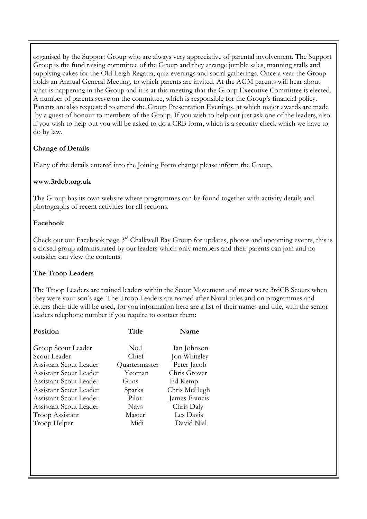organised by the Support Group who are always very appreciative of parental involvement. The Support Group is the fund raising committee of the Group and they arrange jumble sales, manning stalls and supplying cakes for the Old Leigh Regatta, quiz evenings and social gatherings. Once a year the Group holds an Annual General Meeting, to which parents are invited. At the AGM parents will hear about what is happening in the Group and it is at this meeting that the Group Executive Committee is elected. A number of parents serve on the committee, which is responsible for the Group's financial policy. Parents are also requested to attend the Group Presentation Evenings, at which major awards are made by a guest of honour to members of the Group. If you wish to help out just ask one of the leaders, also if you wish to help out you will be asked to do a CRB form, which is a security check which we have to do by law.

#### **Change of Details**

If any of the details entered into the Joining Form change please inform the Group.

#### **www.3rdcb.org.uk**

The Group has its own website where programmes can be found together with activity details and photographs of recent activities for all sections.

#### **Facebook**

Check out our Facebook page 3rd Chalkwell Bay Group for updates, photos and upcoming events, this is a closed group administrated by our leaders which only members and their parents can join and no outsider can view the contents.

#### **The Troop Leaders**

The Troop Leaders are trained leaders within the Scout Movement and most were 3rdCB Scouts when they were your son's age. The Troop Leaders are named after Naval titles and on programmes and letters their title will be used, for you information here are a list of their names and title, with the senior leaders telephone number if you require to contact them:

| Title         | Name          |
|---------------|---------------|
| No.1          | Ian Johnson   |
| Chief         | Jon Whiteley  |
| Quartermaster | Peter Jacob   |
| Yeoman        | Chris Grover  |
| Guns          | Ed Kemp       |
| Sparks        | Chris McHugh  |
| Pilot         | James Francis |
| <b>Navs</b>   | Chris Daly    |
| Master        | Les Davis     |
| Midi          | David Nial    |
|               |               |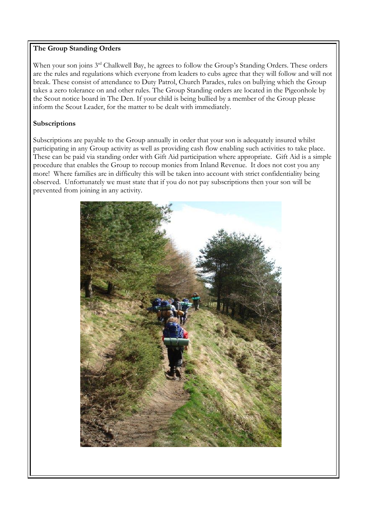#### **The Group Standing Orders**

When your son joins 3<sup>rd</sup> Chalkwell Bay, he agrees to follow the Group's Standing Orders. These orders are the rules and regulations which everyone from leaders to cubs agree that they will follow and will not break. These consist of attendance to Duty Patrol, Church Parades, rules on bullying which the Group takes a zero tolerance on and other rules. The Group Standing orders are located in the Pigeonhole by the Scout notice board in The Den. If your child is being bullied by a member of the Group please inform the Scout Leader, for the matter to be dealt with immediately.

#### **Subscriptions**

Subscriptions are payable to the Group annually in order that your son is adequately insured whilst participating in any Group activity as well as providing cash flow enabling such activities to take place. These can be paid via standing order with Gift Aid participation where appropriate. Gift Aid is a simple procedure that enables the Group to recoup monies from Inland Revenue. It does not cost you any more! Where families are in difficulty this will be taken into account with strict confidentiality being observed. Unfortunately we must state that if you do not pay subscriptions then your son will be prevented from joining in any activity.

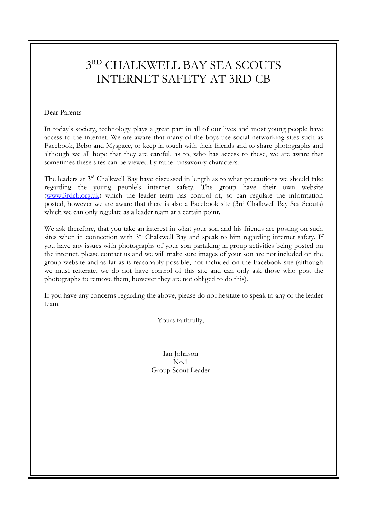### 3 RD CHALKWELL BAY SEA SCOUTS INTERNET SAFETY AT 3RD CB

#### Dear Parents

In today's society, technology plays a great part in all of our lives and most young people have access to the internet. We are aware that many of the boys use social networking sites such as Facebook, Bebo and Myspace, to keep in touch with their friends and to share photographs and although we all hope that they are careful, as to, who has access to these, we are aware that sometimes these sites can be viewed by rather unsavoury characters.

The leaders at  $3<sup>rd</sup>$  Chalkwell Bay have discussed in length as to what precautions we should take regarding the young people's internet safety. The group have their own website [\(www.3rdcb.org.uk\)](http://www.3rdcb.org.uk/) which the leader team has control of, so can regulate the information posted, however we are aware that there is also a Facebook site (3rd Chalkwell Bay Sea Scouts) which we can only regulate as a leader team at a certain point.

We ask therefore, that you take an interest in what your son and his friends are posting on such sites when in connection with 3<sup>rd</sup> Chalkwell Bay and speak to him regarding internet safety. If you have any issues with photographs of your son partaking in group activities being posted on the internet, please contact us and we will make sure images of your son are not included on the group website and as far as is reasonably possible, not included on the Facebook site (although we must reiterate, we do not have control of this site and can only ask those who post the photographs to remove them, however they are not obliged to do this).

If you have any concerns regarding the above, please do not hesitate to speak to any of the leader team.

Yours faithfully,

Ian Johnson  $N<sub>0</sub>1$ Group Scout Leader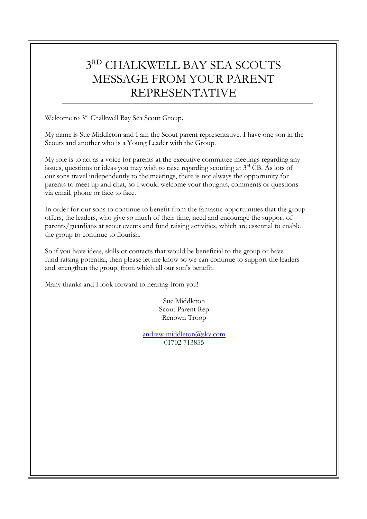## 3 RD CHALKWELL BAY SEA SCOUTS MESSAGE FROM YOUR PARENT REPRESENTATIVE

Welcome to 3rd Chalkwell Bay Sea Scout Group.

My name is Sue Middleton and I am the Scout parent representative. I have one son in the Scouts and another who is a Young Leader with the Group.

My role is to act as a voice for parents at the executive committee meetings regarding any issues, questions or ideas you may wish to raise regarding scouting at 3rd CB. As lots of our sons travel independently to the meetings, there is not always the opportunity for parents to meet up and chat, so I would welcome your thoughts, comments or questions via email, phone or face to face.

In order for our sons to continue to benefit from the fantastic opportunities that the group offers, the leaders, who give so much of their time, need and encourage the support of parents/guardians at scout events and fund raising activities, which are essential to enable the group to continue to flourish.

So if you have ideas, skills or contacts that would be beneficial to the group or have fund raising potential, then please let me know so we can continue to support the leaders and strengthen the group, from which all our son's benefit.

Many thanks and I look forward to hearing from you!

Sue Middleton Scout Parent Rep Renown Troop

[andrew-middleton@sky.com](mailto:andrew-middleton@sky.com) 01702 713855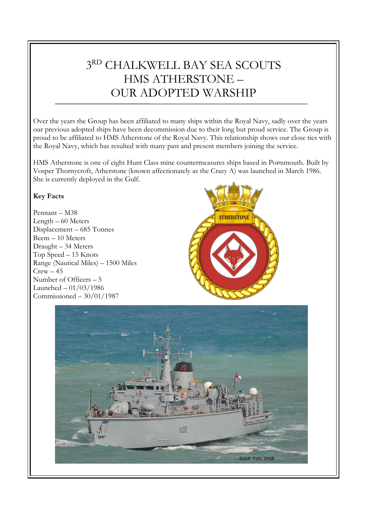## 3 RD CHALKWELL BAY SEA SCOUTS HMS ATHERSTONE – OUR ADOPTED WARSHIP

Over the years the Group has been affiliated to many ships within the Royal Navy, sadly over the years our previous adopted ships have been decommission due to their long but proud service. The Group is proud to be affiliated to HMS Atherstone of the Royal Navy. This relationship shows our close ties with the Royal Navy, which has resulted with many past and present members joining the service.

HMS Atherstone is one of eight Hunt Class mine countermeasures ships based in Portsmouth. Built by Vosper Thornycroft, Atherstone (known affectionately as the Crazy A) was launched in March 1986. She is currently deployed in the Gulf.

#### **Key Facts**

Pennant – M38 Length – 60 Meters Displacement – 685 Tonnes Beem – 10 Meters Draught – 34 Meters Top Speed – 15 Knots Range (Nautical Miles) – 1500 Miles  $Crew - 45$ Number of Officers – 5 Launched – 01/03/1986 Commissioned – 30/01/1987